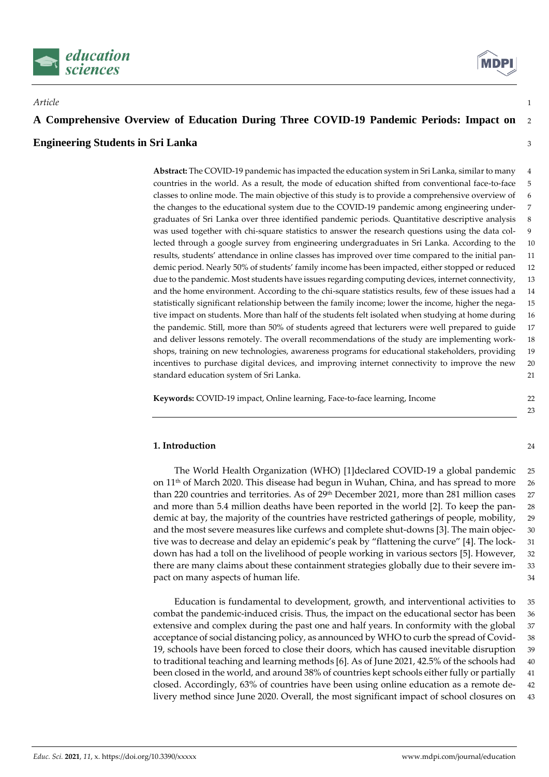



# **A Comprehensive Overview of Education During Three COVID-19 Pandemic Periods: Impact on** <sup>2</sup>

*Article* 1

#### **Engineering Students in Sri Lanka** <sup>3</sup>

**Abstract:** The COVID-19 pandemic has impacted the education system in Sri Lanka, similar to many 4 countries in the world. As a result, the mode of education shifted from conventional face-to-face 5 classes to online mode. The main objective of this study is to provide a comprehensive overview of 6 the changes to the educational system due to the COVID-19 pandemic among engineering under- 7 graduates of Sri Lanka over three identified pandemic periods. Quantitative descriptive analysis 8 was used together with chi-square statistics to answer the research questions using the data col- 9 lected through a google survey from engineering undergraduates in Sri Lanka. According to the 10 results, students' attendance in online classes has improved over time compared to the initial pan- 11 demic period. Nearly 50% of students' family income has been impacted, either stopped or reduced 12 due to the pandemic. Most students have issues regarding computing devices, internet connectivity, 13 and the home environment. According to the chi-square statistics results, few of these issues had a 14 statistically significant relationship between the family income; lower the income, higher the nega- 15 tive impact on students. More than half of the students felt isolated when studying at home during 16 the pandemic. Still, more than 50% of students agreed that lecturers were well prepared to guide 17 and deliver lessons remotely. The overall recommendations of the study are implementing work- 18 shops, training on new technologies, awareness programs for educational stakeholders, providing 19 incentives to purchase digital devices, and improving internet connectivity to improve the new 20 standard education system of Sri Lanka. 21

**Keywords:** COVID-19 impact, Online learning, Face-to-face learning, Income 22

#### **1. Introduction** 24

The World Health Organization (WHO) [1]declared COVID-19 a global pandemic 25 on  $11<sup>th</sup>$  of March 2020. This disease had begun in Wuhan, China, and has spread to more 26 than 220 countries and territories. As of 29<sup>th</sup> December 2021, more than 281 million cases 27 and more than 5.4 million deaths have been reported in the world [2]. To keep the pan- 28 demic at bay, the majority of the countries have restricted gatherings of people, mobility, 29 and the most severe measures like curfews and complete shut-downs [3]. The main objec- 30 tive was to decrease and delay an epidemic's peak by "flattening the curve" [4]. The lock- 31 down has had a toll on the livelihood of people working in various sectors [5]. However, 32 there are many claims about these containment strategies globally due to their severe im- 33 pact on many aspects of human life.  $\frac{34}{2}$ 

Education is fundamental to development, growth, and interventional activities to 35 combat the pandemic-induced crisis. Thus, the impact on the educational sector has been 36 extensive and complex during the past one and half years. In conformity with the global 37 acceptance of social distancing policy, as announced by WHO to curb the spread of Covid- 38 19, schools have been forced to close their doors, which has caused inevitable disruption 39 to traditional teaching and learning methods [6]. As of June 2021, 42.5% of the schools had 40 been closed in the world, and around 38% of countries kept schools either fully or partially 41 closed. Accordingly, 63% of countries have been using online education as a remote de- 42 livery method since June 2020. Overall, the most significant impact of school closures on 43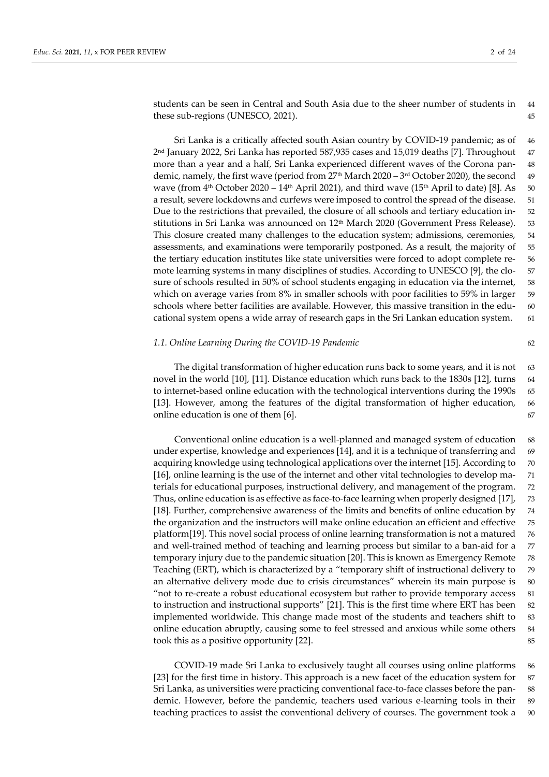students can be seen in Central and South Asia due to the sheer number of students in 44 these sub-regions (UNESCO, 2021). 45

Sri Lanka is a critically affected south Asian country by COVID-19 pandemic; as of 46 2 nd January 2022, Sri Lanka has reported 587,935 cases and 15,019 deaths [7]. Throughout 47 more than a year and a half, Sri Lanka experienced different waves of the Corona pan- 48 demic, namely, the first wave (period from 27<sup>th</sup> March 2020 – 3<sup>rd</sup> October 2020), the second  $\,$  49  $\,$ wave (from  $4<sup>th</sup>$  October 2020 – 14<sup>th</sup> April 2021), and third wave (15<sup>th</sup> April to date) [8]. As 50 a result, severe lockdowns and curfews were imposed to control the spread of the disease. 51 Due to the restrictions that prevailed, the closure of all schools and tertiary education in- 52 stitutions in Sri Lanka was announced on 12<sup>th</sup> March 2020 (Government Press Release). 53 This closure created many challenges to the education system; admissions, ceremonies, 54 assessments, and examinations were temporarily postponed. As a result, the majority of 55 the tertiary education institutes like state universities were forced to adopt complete re- 56 mote learning systems in many disciplines of studies. According to UNESCO [9], the clo- 57 sure of schools resulted in 50% of school students engaging in education via the internet, 58 which on average varies from 8% in smaller schools with poor facilities to 59% in larger 59 schools where better facilities are available. However, this massive transition in the edu- 60 cational system opens a wide array of research gaps in the Sri Lankan education system. 61

#### *1.1. Online Learning During the COVID-19 Pandemic* 62

The digital transformation of higher education runs back to some years, and it is not 63 novel in the world [10], [11]. Distance education which runs back to the 1830s [12], turns 64 to internet-based online education with the technological interventions during the 1990s 65 [13]. However, among the features of the digital transformation of higher education, 66 online education is one of them [6]. 67

Conventional online education is a well-planned and managed system of education 68 under expertise, knowledge and experiences [14], and it is a technique of transferring and 69 acquiring knowledge using technological applications over the internet [15]. According to 70 [16], online learning is the use of the internet and other vital technologies to develop ma- 71 terials for educational purposes, instructional delivery, and management of the program. 72 Thus, online education is as effective as face-to-face learning when properly designed [17], 73 [18]. Further, comprehensive awareness of the limits and benefits of online education by 74 the organization and the instructors will make online education an efficient and effective 75 platform[19]. This novel social process of online learning transformation is not a matured 76 and well-trained method of teaching and learning process but similar to a ban-aid for a 77 temporary injury due to the pandemic situation [20]. This is known as Emergency Remote 78 Teaching (ERT), which is characterized by a "temporary shift of instructional delivery to 79 an alternative delivery mode due to crisis circumstances" wherein its main purpose is 80 "not to re-create a robust educational ecosystem but rather to provide temporary access 81 to instruction and instructional supports" [21]. This is the first time where ERT has been 82 implemented worldwide. This change made most of the students and teachers shift to 83 online education abruptly, causing some to feel stressed and anxious while some others 84 took this as a positive opportunity [22]. 85

COVID-19 made Sri Lanka to exclusively taught all courses using online platforms 86 [23] for the first time in history. This approach is a new facet of the education system for 87 Sri Lanka, as universities were practicing conventional face-to-face classes before the pan- 88 demic. However, before the pandemic, teachers used various e-learning tools in their 89 teaching practices to assist the conventional delivery of courses. The government took a 90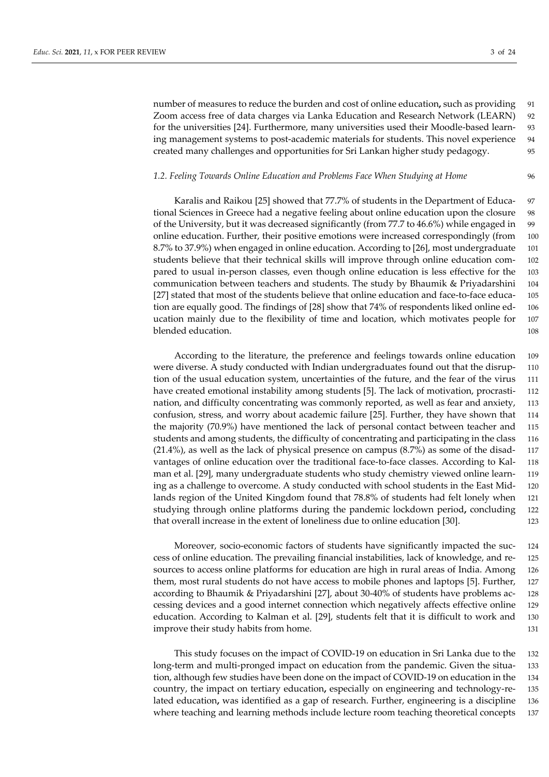number of measures to reduce the burden and cost of online education**,** such as providing 91 Zoom access free of data charges via Lanka Education and Research Network (LEARN) 92 for the universities [24]. Furthermore, many universities used their Moodle-based learn- 93 ing management systems to post-academic materials for students. This novel experience 94 created many challenges and opportunities for Sri Lankan higher study pedagogy. 95

#### *1.2. Feeling Towards Online Education and Problems Face When Studying at Home* 96

Karalis and Raikou [25] showed that 77.7% of students in the Department of Educa- 97 tional Sciences in Greece had a negative feeling about online education upon the closure 98 of the University, but it was decreased significantly (from 77.7 to 46.6%) while engaged in 99 online education. Further, their positive emotions were increased correspondingly (from 100 8.7% to 37.9%) when engaged in online education. According to [26], most undergraduate 101 students believe that their technical skills will improve through online education com- 102 pared to usual in-person classes, even though online education is less effective for the 103 communication between teachers and students. The study by Bhaumik & Priyadarshini 104 [27] stated that most of the students believe that online education and face-to-face educa- 105 tion are equally good. The findings of [28] show that 74% of respondents liked online ed- 106 ucation mainly due to the flexibility of time and location, which motivates people for 107 blended education. 108

According to the literature, the preference and feelings towards online education 109 were diverse. A study conducted with Indian undergraduates found out that the disrup- 110 tion of the usual education system, uncertainties of the future, and the fear of the virus 111 have created emotional instability among students [5]. The lack of motivation, procrasti- 112 nation, and difficulty concentrating was commonly reported, as well as fear and anxiety, 113 confusion, stress, and worry about academic failure [25]. Further, they have shown that 114 the majority (70.9%) have mentioned the lack of personal contact between teacher and 115 students and among students, the difficulty of concentrating and participating in the class 116  $(21.4\%)$ , as well as the lack of physical presence on campus  $(8.7\%)$  as some of the disad- 117 vantages of online education over the traditional face-to-face classes. According to Kal- 118 man et al. [29], many undergraduate students who study chemistry viewed online learn- 119 ing as a challenge to overcome. A study conducted with school students in the East Mid- 120 lands region of the United Kingdom found that 78.8% of students had felt lonely when 121 studying through online platforms during the pandemic lockdown period**,** concluding 122 that overall increase in the extent of loneliness due to online education [30]. 123

Moreover, socio-economic factors of students have significantly impacted the suc- 124 cess of online education. The prevailing financial instabilities, lack of knowledge, and re- 125 sources to access online platforms for education are high in rural areas of India. Among 126 them, most rural students do not have access to mobile phones and laptops [5]. Further, 127 according to Bhaumik & Priyadarshini [27], about 30-40% of students have problems ac- 128 cessing devices and a good internet connection which negatively affects effective online 129 education. According to Kalman et al. [29], students felt that it is difficult to work and 130 improve their study habits from home. 131

This study focuses on the impact of COVID-19 on education in Sri Lanka due to the 132 long-term and multi-pronged impact on education from the pandemic. Given the situa- 133 tion, although few studies have been done on the impact of COVID-19 on education in the 134 country, the impact on tertiary education**,** especially on engineering and technology-re- 135 lated education**,** was identified as a gap of research. Further, engineering is a discipline 136 where teaching and learning methods include lecture room teaching theoretical concepts 137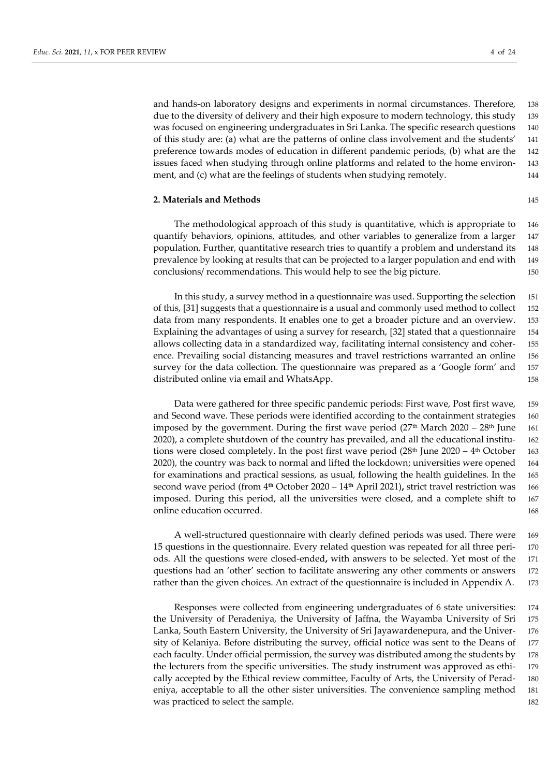and hands-on laboratory designs and experiments in normal circumstances. Therefore, 138 due to the diversity of delivery and their high exposure to modern technology, this study 139 was focused on engineering undergraduates in Sri Lanka. The specific research questions 140 of this study are: (a) what are the patterns of online class involvement and the students' 141 preference towards modes of education in different pandemic periods, (b) what are the 142 issues faced when studying through online platforms and related to the home environ- 143 ment, and (c) what are the feelings of students when studying remotely. 144

#### **2. Materials and Methods** 145

The methodological approach of this study is quantitative, which is appropriate to 146 quantify behaviors, opinions, attitudes, and other variables to generalize from a larger 147 population. Further, quantitative research tries to quantify a problem and understand its 148 prevalence by looking at results that can be projected to a larger population and end with 149 conclusions/ recommendations. This would help to see the big picture. 150

In this study, a survey method in a questionnaire was used. Supporting the selection 151 of this, [31] suggests that a questionnaire is a usual and commonly used method to collect 152 data from many respondents. It enables one to get a broader picture and an overview. 153 Explaining the advantages of using a survey for research, [32] stated that a questionnaire 154 allows collecting data in a standardized way, facilitating internal consistency and coher- 155 ence. Prevailing social distancing measures and travel restrictions warranted an online 156 survey for the data collection. The questionnaire was prepared as a 'Google form' and 157 distributed online via email and WhatsApp.  $\qquad 158$ 

Data were gathered for three specific pandemic periods: First wave, Post first wave, 159 and Second wave. These periods were identified according to the containment strategies 160 imposed by the government. During the first wave period  $(27<sup>th</sup> March 2020 - 28<sup>th</sup> June 161)$ 2020), a complete shutdown of the country has prevailed, and all the educational institu- 162 tions were closed completely. In the post first wave period  $(28<sup>th</sup>$  June 2020 –  $4<sup>th</sup>$  October 163 2020), the country was back to normal and lifted the lockdown; universities were opened 164 for examinations and practical sessions, as usual, following the health guidelines. In the 165 second wave period (from 4**th** October 2020 – 14**th** April 2021)**,** strict travel restriction was 166 imposed. During this period, all the universities were closed, and a complete shift to 167 online education occurred. The set of the set of the set of the set of the set of the set of the set of the set of the set of the set of the set of the set of the set of the set of the set of the set of the set of the set

A well-structured questionnaire with clearly defined periods was used. There were 169 15 questions in the questionnaire. Every related question was repeated for all three peri- 170 ods. All the questions were closed-ended**,** with answers to be selected. Yet most of the 171 questions had an 'other' section to facilitate answering any other comments or answers 172 rather than the given choices. An extract of the questionnaire is included in Appendix A. 173

Responses were collected from engineering undergraduates of 6 state universities: 174 the University of Peradeniya, the University of Jaffna, the Wayamba University of Sri 175 Lanka, South Eastern University, the University of Sri Jayawardenepura, and the Univer- 176 sity of Kelaniya. Before distributing the survey, official notice was sent to the Deans of 177 each faculty. Under official permission, the survey was distributed among the students by 178 the lecturers from the specific universities. The study instrument was approved as ethi- 179 cally accepted by the Ethical review committee, Faculty of Arts, the University of Perad- 180 eniya, acceptable to all the other sister universities. The convenience sampling method 181 was practiced to select the sample. 182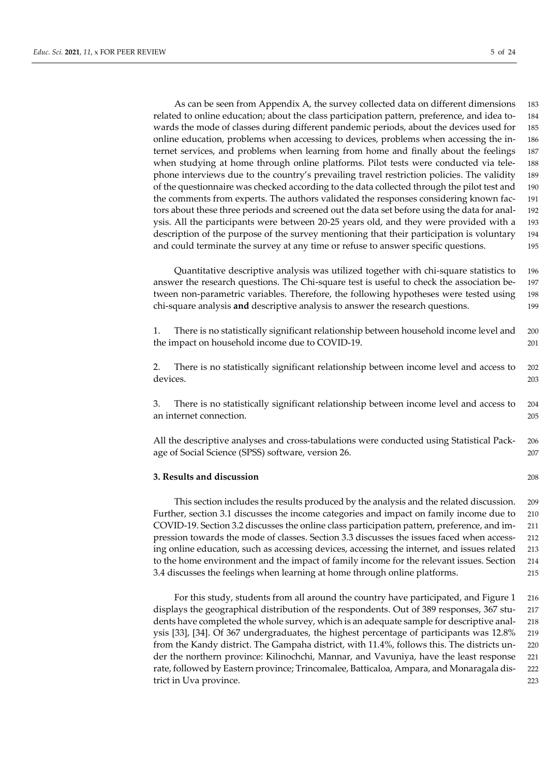As can be seen from Appendix A, the survey collected data on different dimensions 183 related to online education; about the class participation pattern, preference, and idea to- 184 wards the mode of classes during different pandemic periods, about the devices used for 185 online education, problems when accessing to devices, problems when accessing the in- 186 ternet services, and problems when learning from home and finally about the feelings 187 when studying at home through online platforms. Pilot tests were conducted via tele- 188 phone interviews due to the country's prevailing travel restriction policies. The validity 189 of the questionnaire was checked according to the data collected through the pilot test and 190 the comments from experts. The authors validated the responses considering known fac- 191 tors about these three periods and screened out the data set before using the data for anal- 192 ysis. All the participants were between 20-25 years old, and they were provided with a 193 description of the purpose of the survey mentioning that their participation is voluntary 194 and could terminate the survey at any time or refuse to answer specific questions. 195

Quantitative descriptive analysis was utilized together with chi-square statistics to 196 answer the research questions. The Chi-square test is useful to check the association be- 197 tween non-parametric variables. Therefore, the following hypotheses were tested using 198 chi-square analysis **and** descriptive analysis to answer the research questions. 199

| There is no statistically significant relationship between household income level and | 200 |
|---------------------------------------------------------------------------------------|-----|
| the impact on household income due to COVID-19.                                       |     |

2. There is no statistically significant relationship between income level and access to 202 devices. 203

3. There is no statistically significant relationship between income level and access to 204 an internet connection. 205

All the descriptive analyses and cross-tabulations were conducted using Statistical Pack- 206 age of Social Science (SPSS) software, version 26. 207

#### **3. Results and discussion** 208

This section includes the results produced by the analysis and the related discussion. 209 Further, section 3.1 discusses the income categories and impact on family income due to 210 COVID-19. Section 3.2 discusses the online class participation pattern, preference, and im- 211 pression towards the mode of classes. Section 3.3 discusses the issues faced when access- 212 ing online education, such as accessing devices, accessing the internet, and issues related 213 to the home environment and the impact of family income for the relevant issues. Section 214 3.4 discusses the feelings when learning at home through online platforms. 215

For this study, students from all around the country have participated, and Figure 1 216 displays the geographical distribution of the respondents. Out of 389 responses, 367 stu- 217 dents have completed the whole survey, which is an adequate sample for descriptive anal- 218 ysis [33], [34]. Of 367 undergraduates, the highest percentage of participants was 12.8% 219 from the Kandy district. The Gampaha district, with 11.4%, follows this. The districts un- 220 der the northern province: Kilinochchi, Mannar, and Vavuniya, have the least response 221 rate, followed by Eastern province; Trincomalee, Batticaloa, Ampara, and Monaragala dis- 222 trict in Uva province. 223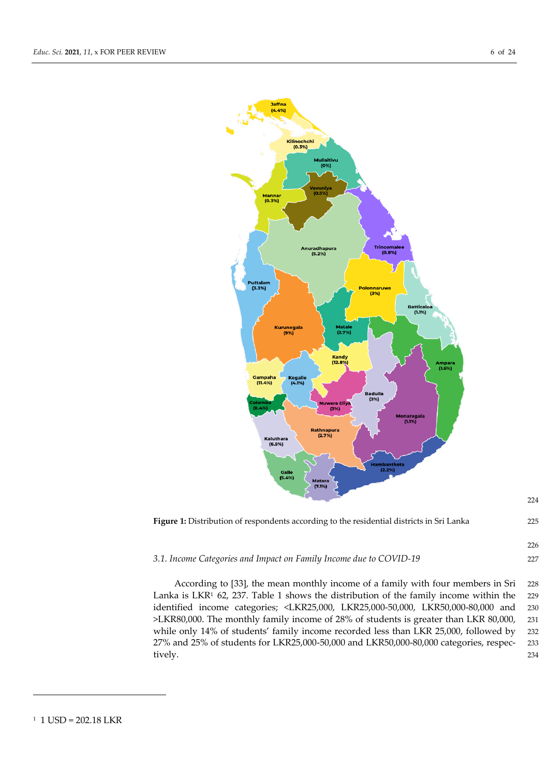



224

#### *3.1. Income Categories and Impact on Family Income due to COVID-19* 227

According to [33], the mean monthly income of a family with four members in Sri 228 Lanka is LKR<sup>1</sup> 62, 237. Table 1 shows the distribution of the family income within the 229 identified income categories; <LKR25,000, LKR25,000-50,000, LKR50,000-80,000 and 230 >LKR80,000. The monthly family income of 28% of students is greater than LKR 80,000, 231 while only 14% of students' family income recorded less than LKR 25,000, followed by 232 27% and 25% of students for LKR25,000-50,000 and LKR50,000-80,000 categories, respec- 233 tively. 234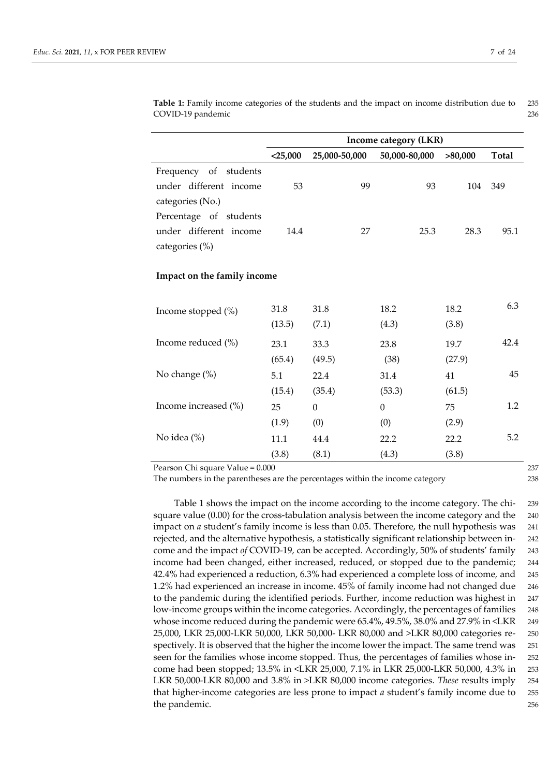|                             |            | Income category (LKR) |                  |         |       |  |  |  |
|-----------------------------|------------|-----------------------|------------------|---------|-------|--|--|--|
|                             | $<$ 25,000 | 25,000-50,000         | 50,000-80,000    | >80,000 | Total |  |  |  |
| Frequency of students       |            |                       |                  |         |       |  |  |  |
| under different income      | 53         | 99                    | 93               | 104     | 349   |  |  |  |
| categories (No.)            |            |                       |                  |         |       |  |  |  |
| Percentage of students      |            |                       |                  |         |       |  |  |  |
| under different income      | 14.4       | 27                    | 25.3             | 28.3    | 95.1  |  |  |  |
| categories (%)              |            |                       |                  |         |       |  |  |  |
| Impact on the family income |            |                       |                  |         |       |  |  |  |
| Income stopped (%)          | 31.8       | 31.8                  | 18.2             | 18.2    | 6.3   |  |  |  |
|                             | (13.5)     | (7.1)                 | (4.3)            | (3.8)   |       |  |  |  |
| Income reduced (%)          | 23.1       | 33.3                  | 23.8             | 19.7    | 42.4  |  |  |  |
|                             | (65.4)     | (49.5)                | (38)             | (27.9)  |       |  |  |  |
| No change (%)               | 5.1        | 22.4                  | 31.4             | 41      | 45    |  |  |  |
|                             | (15.4)     | (35.4)                | (53.3)           | (61.5)  |       |  |  |  |
| Income increased (%)        | 25         | $\boldsymbol{0}$      | $\boldsymbol{0}$ | 75      | 1.2   |  |  |  |
|                             | (1.9)      | (0)                   | (0)              | (2.9)   |       |  |  |  |
| No idea (%)                 | 11.1       | 44.4                  | 22.2             | 22.2    | 5.2   |  |  |  |
|                             | (3.8)      | (8.1)                 | (4.3)            | (3.8)   |       |  |  |  |

**Table 1:** Family income categories of the students and the impact on income distribution due to 235 COVID-19 pandemic 236

Pearson Chi square Value = 0.000 237

The numbers in the parentheses are the percentages within the income category 238

Table 1 shows the impact on the income according to the income category. The chi- 239 square value (0.00) for the cross-tabulation analysis between the income category and the 240 impact on *a* student's family income is less than 0.05. Therefore, the null hypothesis was 241 rejected*,* and the alternative hypothesis*,* a statistically significant relationship between in- 242 come and the impact *of* COVID-19*,* can be accepted. Accordingly, 50% of students' family 243 income had been changed, either increased, reduced, or stopped due to the pandemic; 244 42.4% had experienced a reduction, 6.3% had experienced a complete loss of income*,* and 245 1.2% had experienced an increase in income. 45% of family income had not changed due 246 to the pandemic during the identified periods. Further, income reduction was highest in 247 low-income groups within the income categories. Accordingly, the percentages of families 248 whose income reduced during the pandemic were 65.4%, 49.5%, 38.0% and 27.9% in <LKR 249 25,000, LKR 25,000-LKR 50,000, LKR 50,000- LKR 80,000 and >LKR 80,000 categories re- 250 spectively. It is observed that the higher the income lower the impact. The same trend was 251 seen for the families whose income stopped. Thus, the percentages of families whose in- 252 come had been stopped; 13.5% in <LKR 25,000, 7.1% in LKR 25,000-LKR 50,000, 4.3% in 253 LKR 50,000-LKR 80,000 and 3.8% in >LKR 80,000 income categories. *These* results imply 254 that higher-income categories are less prone to impact *a* student's family income due to 255 the pandemic. 256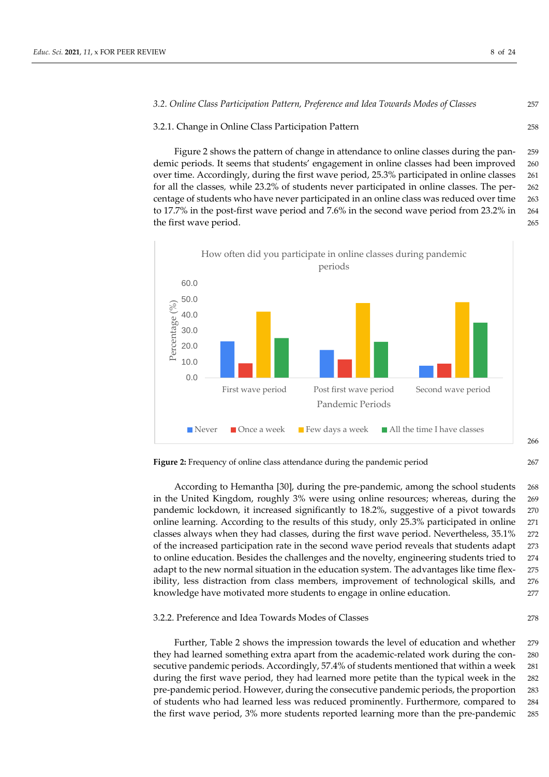#### *3.2. Online Class Participation Pattern, Preference and Idea Towards Modes of Classes* 257

#### 3.2.1. Change in Online Class Participation Pattern 258

Figure 2 shows the pattern of change in attendance to online classes during the pan- 259 demic periods. It seems that students' engagement in online classes had been improved 260 over time. Accordingly, during the first wave period, 25.3% participated in online classes 261 for all the classes*,* while 23.2% of students never participated in online classes. The per- 262 centage of students who have never participated in an online class was reduced over time 263 to 17.7% in the post-first wave period and 7.6% in the second wave period from 23.2% in 264 the first wave period. 265



**Figure 2:** Frequency of online class attendance during the pandemic period 267

According to Hemantha [30], during the pre-pandemic, among the school students 268 in the United Kingdom, roughly 3% were using online resources; whereas, during the 269 pandemic lockdown, it increased significantly to 18.2%, suggestive of a pivot towards 270 online learning. According to the results of this study, only 25.3% participated in online 271 classes always when they had classes, during the first wave period. Nevertheless, 35.1% 272 of the increased participation rate in the second wave period reveals that students adapt 273 to online education. Besides the challenges and the novelty, engineering students tried to 274 adapt to the new normal situation in the education system. The advantages like time flex- 275 ibility, less distraction from class members, improvement of technological skills, and 276 knowledge have motivated more students to engage in online education. 277

#### 3.2.2. Preference and Idea Towards Modes of Classes 278

Further, Table 2 shows the impression towards the level of education and whether 279 they had learned something extra apart from the academic-related work during the con- 280 secutive pandemic periods. Accordingly, 57.4% of students mentioned that within a week 281 during the first wave period, they had learned more petite than the typical week in the 282 pre-pandemic period. However, during the consecutive pandemic periods, the proportion 283 of students who had learned less was reduced prominently. Furthermore, compared to 284 the first wave period, 3% more students reported learning more than the pre-pandemic 285

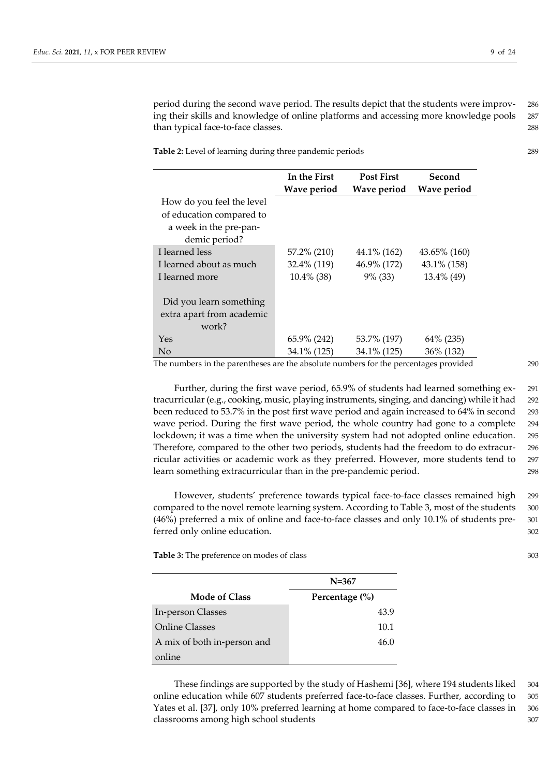period during the second wave period. The results depict that the students were improv- 286 ing their skills and knowledge of online platforms and accessing more knowledge pools 287 than typical face-to-face classes. 288

**Table 2:** Level of learning during three pandemic periods 289

|                           | In the First  | <b>Post First</b> | Second       |
|---------------------------|---------------|-------------------|--------------|
|                           | Wave period   | Wave period       | Wave period  |
| How do you feel the level |               |                   |              |
| of education compared to  |               |                   |              |
| a week in the pre-pan-    |               |                   |              |
| demic period?             |               |                   |              |
| I learned less            | 57.2% (210)   | 44.1% (162)       | 43.65% (160) |
| I learned about as much   | 32.4% (119)   | 46.9% (172)       | 43.1% (158)  |
| I learned more            | $10.4\%$ (38) | $9\%$ (33)        | 13.4% (49)   |
|                           |               |                   |              |
| Did you learn something   |               |                   |              |
| extra apart from academic |               |                   |              |
| work?                     |               |                   |              |
| Yes                       | 65.9% (242)   | 53.7% (197)       | 64\% (235)   |
| N <sub>o</sub>            | 34.1% (125)   | 34.1% (125)       | 36% (132)    |

The numbers in the parentheses are the absolute numbers for the percentages provided 290

Further, during the first wave period, 65.9% of students had learned something ex- 291 tracurricular (e.g., cooking, music, playing instruments, singing, and dancing) while it had 292 been reduced to 53.7% in the post first wave period and again increased to 64% in second 293 wave period. During the first wave period, the whole country had gone to a complete 294 lockdown; it was a time when the university system had not adopted online education. 295 Therefore, compared to the other two periods, students had the freedom to do extracur- 296 ricular activities or academic work as they preferred. However, more students tend to 297 learn something extracurricular than in the pre-pandemic period. 298

However, students' preference towards typical face-to-face classes remained high 299 compared to the novel remote learning system. According to Table 3, most of the students 300 (46%) preferred a mix of online and face-to-face classes and only 10.1% of students pre- 301 ferred only online education.  $302$ 

**Table 3:** The preference on modes of class 303

|                             | $N = 367$          |
|-----------------------------|--------------------|
| <b>Mode of Class</b>        | Percentage $(\% )$ |
| In-person Classes           | 43.9               |
| <b>Online Classes</b>       | 10.1               |
| A mix of both in-person and | 46.0               |
| online                      |                    |

These findings are supported by the study of Hashemi [36], where 194 students liked 304 online education while 607 students preferred face-to-face classes. Further, according to 305 Yates et al. [37], only 10% preferred learning at home compared to face-to-face classes in 306 classrooms among high school students **307** and 307 and 307 and 307 and 307 and 307 and 307 and 307 and 307 and 307 and 307 and 307 and 307 and 307 and 307 and 307 and 307 and 307 and 307 and 307 and 307 and 307 and 307 an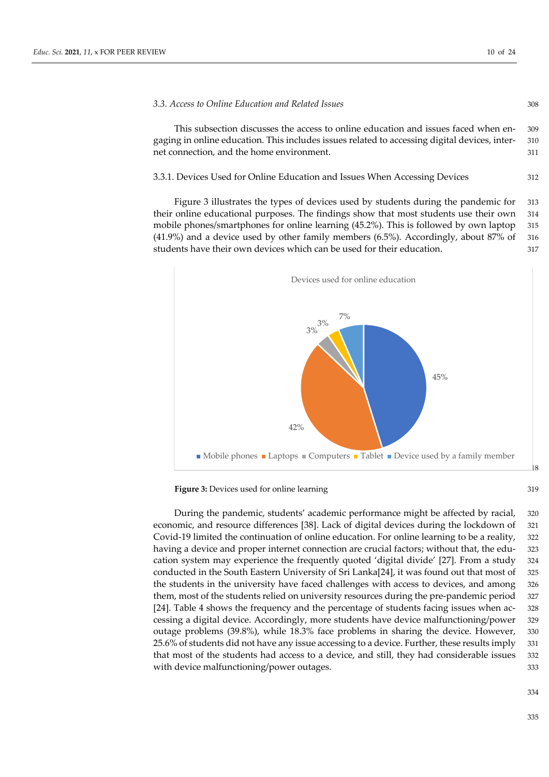#### *3.3. Access to Online Education and Related Issues* 308

This subsection discusses the access to online education and issues faced when en- 309 gaging in online education. This includes issues related to accessing digital devices, inter- 310 net connection, and the home environment. 311

3.3.1. Devices Used for Online Education and Issues When Accessing Devices 312

Figure 3 illustrates the types of devices used by students during the pandemic for 313 their online educational purposes. The findings show that most students use their own 314 mobile phones/smartphones for online learning (45.2%). This is followed by own laptop 315 (41.9%) and a device used by other family members (6.5%). Accordingly, about 87% of 316 students have their own devices which can be used for their education.  $317$ 



**Figure 3:** Devices used for online learning 319

During the pandemic, students' academic performance might be affected by racial, 320 economic, and resource differences [38]. Lack of digital devices during the lockdown of 321 Covid-19 limited the continuation of online education. For online learning to be a reality, 322 having a device and proper internet connection are crucial factors; without that, the edu-<br> cation system may experience the frequently quoted 'digital divide' [27]. From a study 324 conducted in the South Eastern University of Sri Lanka[24], it was found out that most of 325 the students in the university have faced challenges with access to devices, and among 326 them, most of the students relied on university resources during the pre-pandemic period 327 [24]. Table 4 shows the frequency and the percentage of students facing issues when ac- 328 cessing a digital device. Accordingly, more students have device malfunctioning/power 329 outage problems (39.8%), while 18.3% face problems in sharing the device. However, 330 25.6% of students did not have any issue accessing to a device. Further, these results imply 331 that most of the students had access to a device, and still, they had considerable issues 332 with device malfunctioning/power outages.  $333$ 

334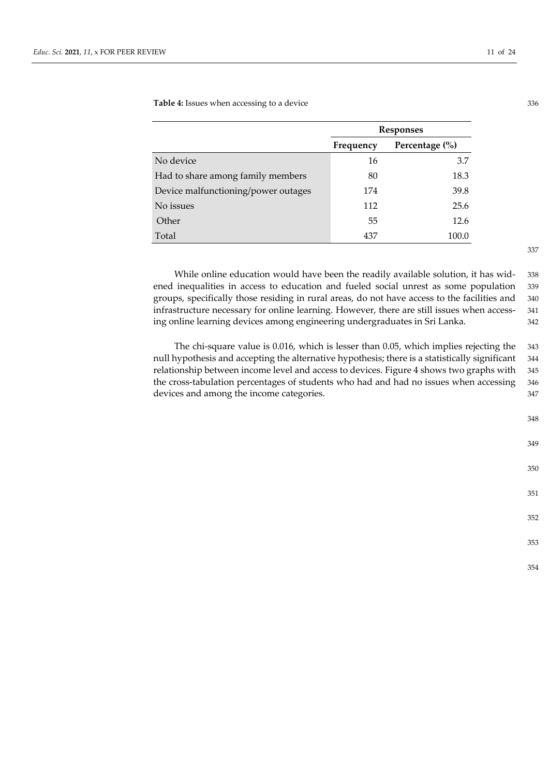**Table 4:** Issues when accessing to a device 336

|                                     | <b>Responses</b> |                    |  |
|-------------------------------------|------------------|--------------------|--|
|                                     | Frequency        | Percentage $(\% )$ |  |
| No device                           | 16               | 3.7                |  |
| Had to share among family members   | 80               | 18.3               |  |
| Device malfunctioning/power outages | 174              | 39.8               |  |
| No issues                           | 112              | 25.6               |  |
| Other                               | 55               | 12.6               |  |
| Total                               | 437              | 100.0              |  |

While online education would have been the readily available solution, it has wid- 338 ened inequalities in access to education and fueled social unrest as some population 339 groups, specifically those residing in rural areas, do not have access to the facilities and 340 infrastructure necessary for online learning. However, there are still issues when access- 341 ing online learning devices among engineering undergraduates in Sri Lanka. 342

The chi-square value is 0.016, which is lesser than 0.05, which implies rejecting the 343 null hypothesis and accepting the alternative hypothesis; there is a statistically significant 344 relationship between income level and access to devices. Figure 4 shows two graphs with 345 the cross-tabulation percentages of students who had and had no issues when accessing 346 devices and among the income categories.  $347$ 

- 348
- 349
- 350

351

352

353

354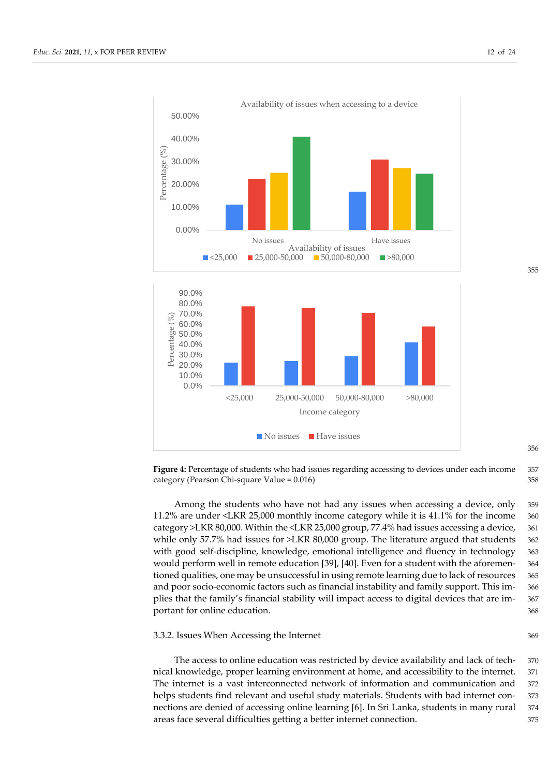

355

Figure 4: Percentage of students who had issues regarding accessing to devices under each income 357 category (Pearson Chi-square Value = 0.016) 358

Among the students who have not had any issues when accessing a device, only 359 11.2% are under <LKR 25,000 monthly income category while it is 41.1% for the income 360 category >LKR 80,000. Within the <LKR 25,000 group, 77.4% had issues accessing a device, 361 while only 57.7% had issues for >LKR 80,000 group. The literature argued that students 362 with good self-discipline, knowledge, emotional intelligence and fluency in technology 363 would perform well in remote education [39], [40]. Even for a student with the aforemen- 364 tioned qualities, one may be unsuccessful in using remote learning due to lack of resources 365 and poor socio-economic factors such as financial instability and family support. This im- 366 plies that the family's financial stability will impact access to digital devices that are im- 367 portant for online education.  $368$ 

#### 3.3.2. Issues When Accessing the Internet 369

The access to online education was restricted by device availability and lack of tech- 370 nical knowledge, proper learning environment at home, and accessibility to the internet. 371 The internet is a vast interconnected network of information and communication and 372 helps students find relevant and useful study materials. Students with bad internet con- 373 nections are denied of accessing online learning [6]. In Sri Lanka, students in many rural 374 areas face several difficulties getting a better internet connection. 375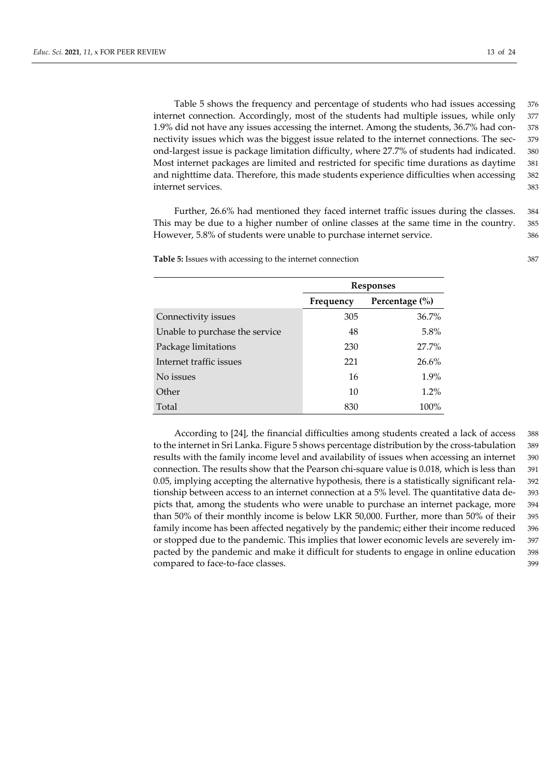Table 5 shows the frequency and percentage of students who had issues accessing 376 internet connection. Accordingly, most of the students had multiple issues, while only 377 1.9% did not have any issues accessing the internet. Among the students, 36.7% had con- 378 nectivity issues which was the biggest issue related to the internet connections. The sec- 379 ond-largest issue is package limitation difficulty, where 27.7% of students had indicated. 380 Most internet packages are limited and restricted for specific time durations as daytime 381 and nighttime data. Therefore, this made students experience difficulties when accessing 382 internet services. 383

Further, 26.6% had mentioned they faced internet traffic issues during the classes. 384 This may be due to a higher number of online classes at the same time in the country. 385 However, 5.8% of students were unable to purchase internet service. 386

**Table 5:** Issues with accessing to the internet connection 387

|                                | <b>Responses</b> |                    |  |  |
|--------------------------------|------------------|--------------------|--|--|
|                                | Frequency        | Percentage $(\% )$ |  |  |
| Connectivity issues            | 305              | $36.7\%$           |  |  |
| Unable to purchase the service | 48               | $5.8\%$            |  |  |
| Package limitations            | 230              | $27.7\%$           |  |  |
| Internet traffic issues        | 221              | 26.6%              |  |  |
| No issues                      | 16               | $1.9\%$            |  |  |
| Other                          | 10               | $1.2\%$            |  |  |
| Total                          | 830              | $100\%$            |  |  |

According to [24], the financial difficulties among students created a lack of access 388 to the internet in Sri Lanka. Figure 5 shows percentage distribution by the cross-tabulation 389 results with the family income level and availability of issues when accessing an internet 390 connection. The results show that the Pearson chi-square value is 0.018, which is less than 391 0.05, implying accepting the alternative hypothesis, there is a statistically significant rela- 392 tionship between access to an internet connection at a 5% level. The quantitative data de- 393 picts that, among the students who were unable to purchase an internet package, more 394 than 50% of their monthly income is below LKR 50,000. Further, more than 50% of their 395 family income has been affected negatively by the pandemic; either their income reduced 396 or stopped due to the pandemic. This implies that lower economic levels are severely im- 397 pacted by the pandemic and make it difficult for students to engage in online education 398 compared to face-to-face classes. 399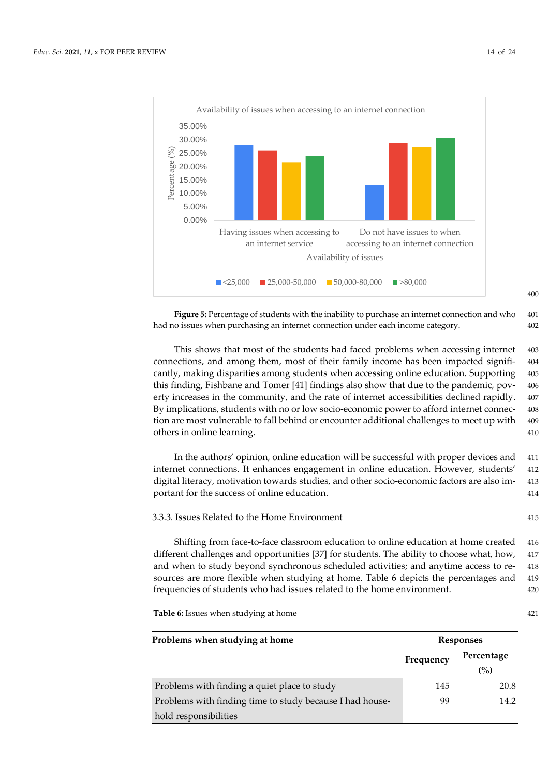

**Figure 5:** Percentage of students with the inability to purchase an internet connection and who 401 had no issues when purchasing an internet connection under each income category. 402

This shows that most of the students had faced problems when accessing internet 403 connections, and among them, most of their family income has been impacted signifi- 404 cantly, making disparities among students when accessing online education. Supporting 405 this finding, Fishbane and Tomer [41] findings also show that due to the pandemic, pov- 406 erty increases in the community, and the rate of internet accessibilities declined rapidly. 407 By implications, students with no or low socio-economic power to afford internet connec- 408 tion are most vulnerable to fall behind or encounter additional challenges to meet up with 409 others in online learning. 410

In the authors' opinion, online education will be successful with proper devices and 411 internet connections. It enhances engagement in online education. However, students' 412 digital literacy, motivation towards studies, and other socio-economic factors are also im- 413 portant for the success of online education. 414

3.3.3. Issues Related to the Home Environment 415

Shifting from face-to-face classroom education to online education at home created 416 different challenges and opportunities [37] for students. The ability to choose what, how, 417 and when to study beyond synchronous scheduled activities; and anytime access to re- 418 sources are more flexible when studying at home. Table 6 depicts the percentages and 419 frequencies of students who had issues related to the home environment. 420

**Table 6:** Issues when studying at home 421

| Problems when studying at home                           | <b>Responses</b> |                   |  |  |
|----------------------------------------------------------|------------------|-------------------|--|--|
|                                                          | Frequency        | Percentage<br>(%) |  |  |
| Problems with finding a quiet place to study             | 145              | 20.8              |  |  |
| Problems with finding time to study because I had house- | 99               | 14.2              |  |  |
| hold responsibilities                                    |                  |                   |  |  |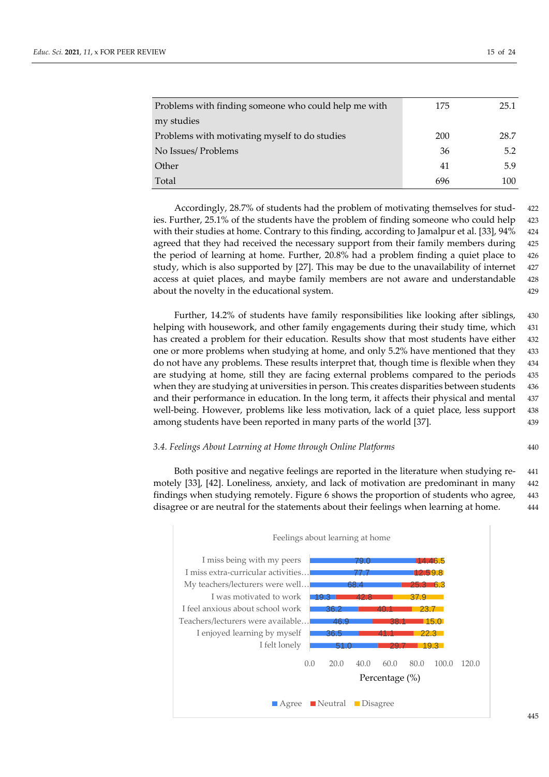| Problems with finding someone who could help me with | 175 | 25.1 |
|------------------------------------------------------|-----|------|
| my studies                                           |     |      |
| Problems with motivating myself to do studies        | 200 | 28.7 |
| No Issues/ Problems                                  | 36  | 5.2  |
| Other                                                | 41  | 5.9  |
| Total                                                | 696 | 100  |

Accordingly, 28.7% of students had the problem of motivating themselves for stud- 422 ies. Further,  $25.1\%$  of the students have the problem of finding someone who could help  $423$ with their studies at home. Contrary to this finding, according to Jamalpur et al. [33], 94% 424 agreed that they had received the necessary support from their family members during 425 the period of learning at home. Further, 20.8% had a problem finding a quiet place to 426 study, which is also supported by  $[27]$ . This may be due to the unavailability of internet  $427$ access at quiet places, and maybe family members are not aware and understandable 428 about the novelty in the educational system. 429

Further, 14.2% of students have family responsibilities like looking after siblings, 430 helping with housework, and other family engagements during their study time, which 431 has created a problem for their education. Results show that most students have either 432 one or more problems when studying at home, and only 5.2% have mentioned that they 433 do not have any problems. These results interpret that, though time is flexible when they 434 are studying at home, still they are facing external problems compared to the periods 435 when they are studying at universities in person. This creates disparities between students 436 and their performance in education. In the long term, it affects their physical and mental 437 well-being. However, problems like less motivation, lack of a quiet place, less support 438 among students have been reported in many parts of the world [37]. 439

#### *3.4. Feelings About Learning at Home through Online Platforms* 440

Both positive and negative feelings are reported in the literature when studying re- 441 motely [33], [42]. Loneliness, anxiety, and lack of motivation are predominant in many 442 findings when studying remotely. Figure 6 shows the proportion of students who agree, 443 disagree or are neutral for the statements about their feelings when learning at home. 444

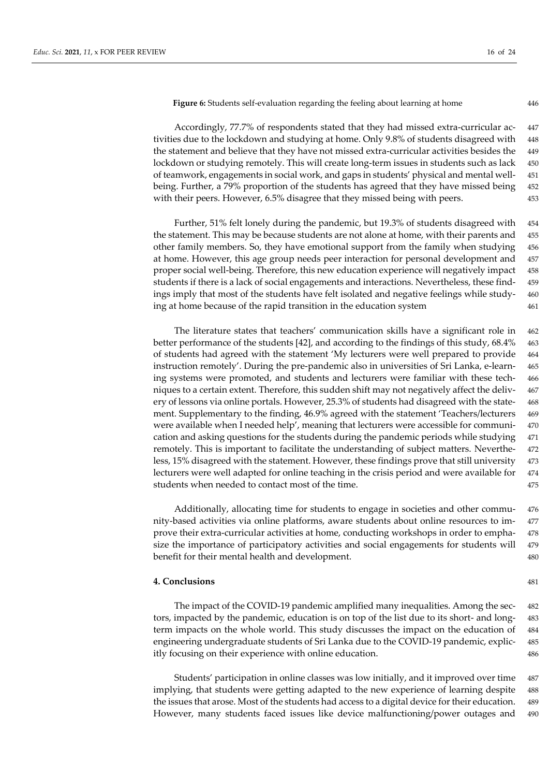**Figure 6:** Students self-evaluation regarding the feeling about learning at home 446

Accordingly, 77.7% of respondents stated that they had missed extra-curricular ac- 447 tivities due to the lockdown and studying at home. Only 9.8% of students disagreed with 448 the statement and believe that they have not missed extra-curricular activities besides the 449 lockdown or studying remotely. This will create long-term issues in students such as lack 450 of teamwork, engagements in social work, and gaps in students' physical and mental well- 451 being. Further, a 79% proportion of the students has agreed that they have missed being 452 with their peers. However, 6.5% disagree that they missed being with peers. 453

Further, 51% felt lonely during the pandemic, but 19.3% of students disagreed with 454 the statement. This may be because students are not alone at home, with their parents and 455 other family members. So, they have emotional support from the family when studying 456 at home. However, this age group needs peer interaction for personal development and 457 proper social well-being. Therefore, this new education experience will negatively impact 458 students if there is a lack of social engagements and interactions. Nevertheless, these find- 459 ings imply that most of the students have felt isolated and negative feelings while study- 460 ing at home because of the rapid transition in the education system 461

The literature states that teachers' communication skills have a significant role in 462 better performance of the students [42], and according to the findings of this study, 68.4% 463 of students had agreed with the statement 'My lecturers were well prepared to provide 464 instruction remotely'. During the pre-pandemic also in universities of Sri Lanka, e-learn- 465 ing systems were promoted, and students and lecturers were familiar with these tech- 466 niques to a certain extent. Therefore, this sudden shift may not negatively affect the deliv- 467 ery of lessons via online portals. However, 25.3% of students had disagreed with the state- 468 ment. Supplementary to the finding, 46.9% agreed with the statement 'Teachers/lecturers 469 were available when I needed help', meaning that lecturers were accessible for communi- 470 cation and asking questions for the students during the pandemic periods while studying 471 remotely. This is important to facilitate the understanding of subject matters. Neverthe- 472 less, 15% disagreed with the statement. However, these findings prove that still university 473 lecturers were well adapted for online teaching in the crisis period and were available for 474 students when needed to contact most of the time. 475

Additionally, allocating time for students to engage in societies and other commu- 476 nity-based activities via online platforms, aware students about online resources to im- 477 prove their extra-curricular activities at home, conducting workshops in order to empha- 478 size the importance of participatory activities and social engagements for students will 479 benefit for their mental health and development. 480

#### **4. Conclusions** 481

The impact of the COVID-19 pandemic amplified many inequalities. Among the sec- 482 tors, impacted by the pandemic, education is on top of the list due to its short- and long- 483 term impacts on the whole world. This study discusses the impact on the education of 484 engineering undergraduate students of Sri Lanka due to the COVID-19 pandemic, explic- 485 itly focusing on their experience with online education. 486

Students' participation in online classes was low initially, and it improved over time 487 implying, that students were getting adapted to the new experience of learning despite 488 the issues that arose. Most of the students had access to a digital device for their education. 489 However, many students faced issues like device malfunctioning/power outages and 490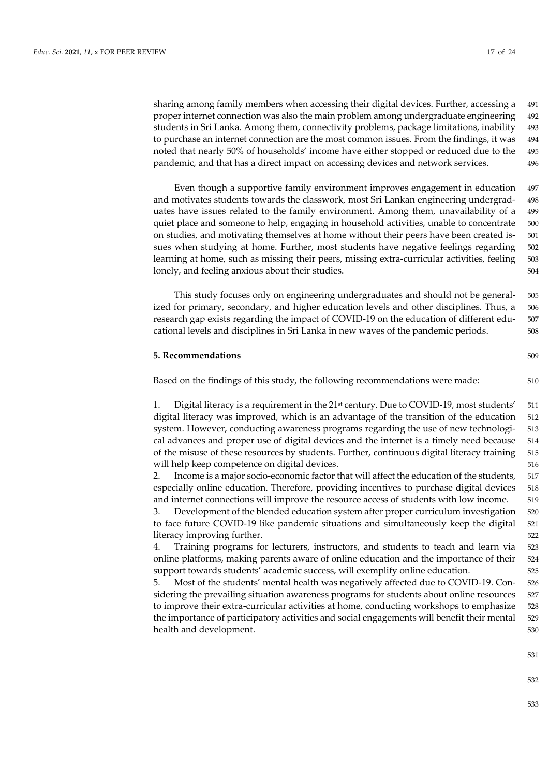sharing among family members when accessing their digital devices. Further, accessing a 491 proper internet connection was also the main problem among undergraduate engineering 492 students in Sri Lanka. Among them, connectivity problems, package limitations, inability 493 to purchase an internet connection are the most common issues. From the findings, it was 494 noted that nearly 50% of households' income have either stopped or reduced due to the 495 pandemic, and that has a direct impact on accessing devices and network services. 496

Even though a supportive family environment improves engagement in education 497 and motivates students towards the classwork, most Sri Lankan engineering undergrad- 498 uates have issues related to the family environment. Among them, unavailability of a 499 quiet place and someone to help, engaging in household activities, unable to concentrate 500 on studies, and motivating themselves at home without their peers have been created is- 501 sues when studying at home. Further, most students have negative feelings regarding 502 learning at home, such as missing their peers, missing extra-curricular activities, feeling 503 lonely, and feeling anxious about their studies. 504

This study focuses only on engineering undergraduates and should not be general- 505 ized for primary, secondary, and higher education levels and other disciplines. Thus, a 506 research gap exists regarding the impact of COVID-19 on the education of different edu- 507 cational levels and disciplines in Sri Lanka in new waves of the pandemic periods. 508

#### **5. Recommendations** 509

Based on the findings of this study, the following recommendations were made: 510

1. Digital literacy is a requirement in the  $21<sup>st</sup>$  century. Due to COVID-19, most students'  $511$ digital literacy was improved, which is an advantage of the transition of the education 512 system. However, conducting awareness programs regarding the use of new technologi- 513 cal advances and proper use of digital devices and the internet is a timely need because 514 of the misuse of these resources by students. Further, continuous digital literacy training 515 will help keep competence on digital devices. 516

2. Income is a major socio-economic factor that will affect the education of the students, 517 especially online education. Therefore, providing incentives to purchase digital devices 518 and internet connections will improve the resource access of students with low income. 519

3. Development of the blended education system after proper curriculum investigation 520 to face future COVID-19 like pandemic situations and simultaneously keep the digital 521 literacy improving further. 522

4. Training programs for lecturers, instructors, and students to teach and learn via 523 online platforms, making parents aware of online education and the importance of their 524 support towards students' academic success, will exemplify online education. 525

5. Most of the students' mental health was negatively affected due to COVID-19. Con- 526 sidering the prevailing situation awareness programs for students about online resources 527 to improve their extra-curricular activities at home, conducting workshops to emphasize 528 the importance of participatory activities and social engagements will benefit their mental 529 health and development. 530

531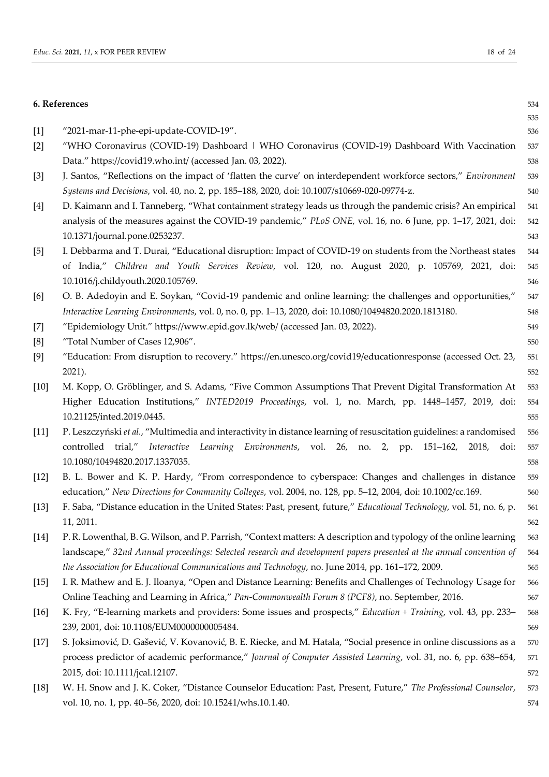|        | 6. References                                                                                                         | 534 |
|--------|-----------------------------------------------------------------------------------------------------------------------|-----|
|        |                                                                                                                       | 535 |
| $[1]$  | "2021-mar-11-phe-epi-update-COVID-19".                                                                                | 536 |
| $[2]$  | "WHO Coronavirus (COVID-19) Dashboard   WHO Coronavirus (COVID-19) Dashboard With Vaccination                         | 537 |
|        | Data." https://covid19.who.int/ (accessed Jan. 03, 2022).                                                             | 538 |
| $[3]$  | J. Santos, "Reflections on the impact of 'flatten the curve' on interdependent workforce sectors," Environment        | 539 |
|        | Systems and Decisions, vol. 40, no. 2, pp. 185-188, 2020, doi: 10.1007/s10669-020-09774-z.                            | 540 |
| $[4]$  | D. Kaimann and I. Tanneberg, "What containment strategy leads us through the pandemic crisis? An empirical            | 541 |
|        | analysis of the measures against the COVID-19 pandemic," PLoS ONE, vol. 16, no. 6 June, pp. 1-17, 2021, doi:          | 542 |
|        | 10.1371/journal.pone.0253237.                                                                                         | 543 |
| $[5]$  | I. Debbarma and T. Durai, "Educational disruption: Impact of COVID-19 on students from the Northeast states           | 544 |
|        | of India," Children and Youth Services Review, vol. 120, no. August 2020, p. 105769, 2021, doi:                       | 545 |
|        | 10.1016/j.childyouth.2020.105769.                                                                                     | 546 |
| [6]    | O. B. Adedoyin and E. Soykan, "Covid-19 pandemic and online learning: the challenges and opportunities,"              | 547 |
|        | Interactive Learning Environments, vol. 0, no. 0, pp. 1-13, 2020, doi: 10.1080/10494820.2020.1813180.                 | 548 |
| $[7]$  | "Epidemiology Unit." https://www.epid.gov.lk/web/ (accessed Jan. 03, 2022).                                           | 549 |
| [8]    | "Total Number of Cases 12,906".                                                                                       | 550 |
| [9]    | "Education: From disruption to recovery." https://en.unesco.org/covid19/educationresponse (accessed Oct. 23,          | 551 |
|        | 2021).                                                                                                                | 552 |
| $[10]$ | M. Kopp, O. Gröblinger, and S. Adams, "Five Common Assumptions That Prevent Digital Transformation At                 | 553 |
|        | Higher Education Institutions," INTED2019 Proceedings, vol. 1, no. March, pp. 1448-1457, 2019, doi:                   | 554 |
|        | 10.21125/inted.2019.0445.                                                                                             | 555 |
| $[11]$ | P. Leszczyński et al., "Multimedia and interactivity in distance learning of resuscitation guidelines: a randomised   | 556 |
|        | controlled trial,"<br>Interactive Learning Environments, vol. 26, no. 2, pp. 151–162, 2018,<br>doi:                   | 557 |
|        | 10.1080/10494820.2017.1337035.                                                                                        | 558 |
| $[12]$ | B. L. Bower and K. P. Hardy, "From correspondence to cyberspace: Changes and challenges in distance                   | 559 |
|        | education," New Directions for Community Colleges, vol. 2004, no. 128, pp. 5-12, 2004, doi: 10.1002/cc.169.           | 560 |
| $[13]$ | F. Saba, "Distance education in the United States: Past, present, future," Educational Technology, vol. 51, no. 6, p. | 561 |
|        | 11, 2011.                                                                                                             | 562 |
| $[14]$ | P. R. Lowenthal, B. G. Wilson, and P. Parrish, "Context matters: A description and typology of the online learning    | 563 |
|        | landscape," 32nd Annual proceedings: Selected research and development papers presented at the annual convention of   | 564 |
|        | the Association for Educational Communications and Technology, no. June 2014, pp. 161-172, 2009.                      | 565 |
| $[15]$ | I. R. Mathew and E. J. Iloanya, "Open and Distance Learning: Benefits and Challenges of Technology Usage for          | 566 |
|        | Online Teaching and Learning in Africa," Pan-Commonwealth Forum 8 (PCF8), no. September, 2016.                        | 567 |
| $[16]$ | K. Fry, "E-learning markets and providers: Some issues and prospects," Education + Training, vol. 43, pp. 233–        | 568 |
|        | 239, 2001, doi: 10.1108/EUM0000000005484.                                                                             | 569 |
| $[17]$ | S. Joksimović, D. Gašević, V. Kovanović, B. E. Riecke, and M. Hatala, "Social presence in online discussions as a     | 570 |
|        | process predictor of academic performance," Journal of Computer Assisted Learning, vol. 31, no. 6, pp. 638-654,       | 571 |
|        | 2015, doi: 10.1111/jcal.12107.                                                                                        | 572 |
| $[18]$ | W. H. Snow and J. K. Coker, "Distance Counselor Education: Past, Present, Future," The Professional Counselor,        | 573 |
|        | vol. 10, no. 1, pp. 40-56, 2020, doi: 10.15241/whs.10.1.40.                                                           | 574 |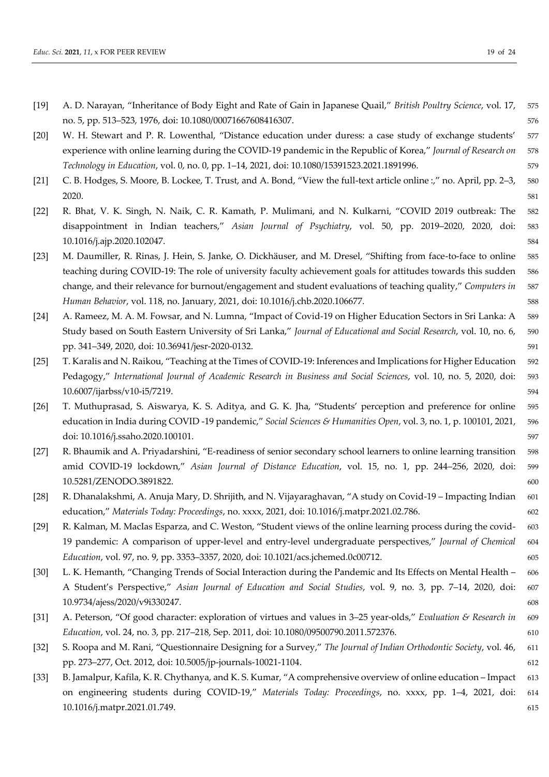- [19] A. D. Narayan, "Inheritance of Body Eight and Rate of Gain in Japanese Quail," *British Poultry Science*, vol. 17, 575 no. 5, pp. 513–523, 1976, doi: 10.1080/00071667608416307. 576
- [20] W. H. Stewart and P. R. Lowenthal, "Distance education under duress: a case study of exchange students' 577 experience with online learning during the COVID-19 pandemic in the Republic of Korea," *Journal of Research on* 578 *Technology in Education*, vol. 0, no. 0, pp. 1–14, 2021, doi: 10.1080/15391523.2021.1891996. 579
- [21] C. B. Hodges, S. Moore, B. Lockee, T. Trust, and A. Bond, "View the full-text article online :," no. April, pp. 2–3, 580 2020. S81
- [22] R. Bhat, V. K. Singh, N. Naik, C. R. Kamath, P. Mulimani, and N. Kulkarni, "COVID 2019 outbreak: The 582 disappointment in Indian teachers," *Asian Journal of Psychiatry*, vol. 50, pp. 2019–2020, 2020, doi: 583 10.1016/j.ajp.2020.102047. 584
- [23] M. Daumiller, R. Rinas, J. Hein, S. Janke, O. Dickhäuser, and M. Dresel, "Shifting from face-to-face to online 585 teaching during COVID-19: The role of university faculty achievement goals for attitudes towards this sudden 586 change, and their relevance for burnout/engagement and student evaluations of teaching quality," *Computers in* 587 *Human Behavior*, vol. 118, no. January, 2021, doi: 10.1016/j.chb.2020.106677. 588
- [24] A. Rameez, M. A. M. Fowsar, and N. Lumna, "Impact of Covid-19 on Higher Education Sectors in Sri Lanka: A 589 Study based on South Eastern University of Sri Lanka," *Journal of Educational and Social Research*, vol. 10, no. 6, 590 pp. 341–349, 2020, doi: 10.36941/jesr-2020-0132. 591
- [25] T. Karalis and N. Raikou, "Teaching at the Times of COVID-19: Inferences and Implications for Higher Education 592 Pedagogy," *International Journal of Academic Research in Business and Social Sciences*, vol. 10, no. 5, 2020, doi: 593 10.6007/ijarbss/v10-i5/7219. 594
- [26] T. Muthuprasad, S. Aiswarya, K. S. Aditya, and G. K. Jha, "Students' perception and preference for online 595 education in India during COVID -19 pandemic," *Social Sciences & Humanities Open*, vol. 3, no. 1, p. 100101, 2021, 596 doi: 10.1016/j.ssaho.2020.100101. 597
- [27] R. Bhaumik and A. Priyadarshini, "E-readiness of senior secondary school learners to online learning transition 598 amid COVID-19 lockdown," *Asian Journal of Distance Education*, vol. 15, no. 1, pp. 244–256, 2020, doi: 599 10.5281/ZENODO.3891822. 600
- [28] R. Dhanalakshmi, A. Anuja Mary, D. Shrijith, and N. Vijayaraghavan, "A study on Covid-19 Impacting Indian 601 education," *Materials Today: Proceedings*, no. xxxx, 2021, doi: 10.1016/j.matpr.2021.02.786. 602
- [29] R. Kalman, M. MacIas Esparza, and C. Weston, "Student views of the online learning process during the covid- 603 19 pandemic: A comparison of upper-level and entry-level undergraduate perspectives," *Journal of Chemical* 604 *Education*, vol. 97, no. 9, pp. 3353–3357, 2020, doi: 10.1021/acs.jchemed.0c00712. 605
- [30] L. K. Hemanth, "Changing Trends of Social Interaction during the Pandemic and Its Effects on Mental Health 606 A Student's Perspective," *Asian Journal of Education and Social Studies*, vol. 9, no. 3, pp. 7–14, 2020, doi: 607 10.9734/ajess/2020/v9i330247. 608
- [31] A. Peterson, "Of good character: exploration of virtues and values in 3–25 year-olds," *Evaluation & Research in* 609 *Education*, vol. 24, no. 3, pp. 217–218, Sep. 2011, doi: 10.1080/09500790.2011.572376. 610
- [32] S. Roopa and M. Rani, "Questionnaire Designing for a Survey," *The Journal of Indian Orthodontic Society*, vol. 46, 611 pp. 273–277, Oct. 2012, doi: 10.5005/jp-journals-10021-1104. 612
- [33] B. Jamalpur, Kafila, K. R. Chythanya, and K. S. Kumar, "A comprehensive overview of online education Impact 613 on engineering students during COVID-19," *Materials Today: Proceedings*, no. xxxx, pp. 1–4, 2021, doi: 614 10.1016/j.matpr.2021.01.749. 615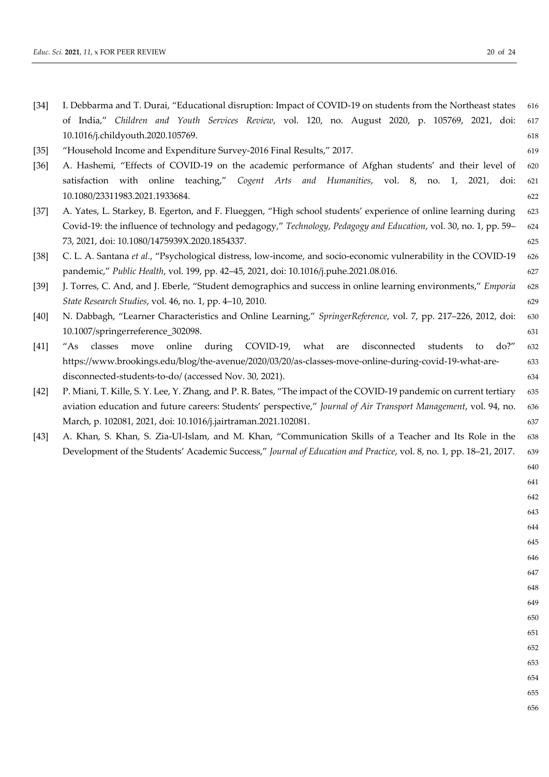| [34] |  | I. Debbarma and T. Durai, "Educational disruption: Impact of COVID-19 on students from the Northeast states 616 |  |  |  |  |  |  |     |
|------|--|-----------------------------------------------------------------------------------------------------------------|--|--|--|--|--|--|-----|
|      |  | of India," Children and Youth Services Review, vol. 120, no. August 2020, p. 105769, 2021, doi: 617             |  |  |  |  |  |  |     |
|      |  | 10.1016/j.childyouth.2020.105769.                                                                               |  |  |  |  |  |  | 618 |

- [35] "Household Income and Expenditure Survey-2016 Final Results," 2017. 619
- [36] A. Hashemi, "Effects of COVID-19 on the academic performance of Afghan students' and their level of 620 satisfaction with online teaching," *Cogent Arts and Humanities*, vol. 8, no. 1, 2021, doi: 621 10.1080/23311983.2021.1933684. 622
- [37] A. Yates, L. Starkey, B. Egerton, and F. Flueggen, "High school students' experience of online learning during 623 Covid-19: the influence of technology and pedagogy," *Technology, Pedagogy and Education*, vol. 30, no. 1, pp. 59– 624 73, 2021, doi: 10.1080/1475939X.2020.1854337. 625
- [38] C. L. A. Santana *et al.*, "Psychological distress, low-income, and socio-economic vulnerability in the COVID-19 626 pandemic," *Public Health*, vol. 199, pp. 42–45, 2021, doi: 10.1016/j.puhe.2021.08.016. 627
- [39] J. Torres, C. And, and J. Eberle, "Student demographics and success in online learning environments," *Emporia* 628 *State Research Studies*, vol. 46, no. 1, pp. 4–10, 2010. 629
- [40] N. Dabbagh, "Learner Characteristics and Online Learning," *SpringerReference*, vol. 7, pp. 217–226, 2012, doi: 630 10.1007/springerreference\_302098. 631
- [41] "As classes move online during COVID-19, what are disconnected students to do?" 632 https://www.brookings.edu/blog/the-avenue/2020/03/20/as-classes-move-online-during-covid-19-what-are- 633 disconnected-students-to-do/ (accessed Nov. 30, 2021). 634
- [42] P. Miani, T. Kille, S. Y. Lee, Y. Zhang, and P. R. Bates, "The impact of the COVID-19 pandemic on current tertiary 635 aviation education and future careers: Students' perspective," *Journal of Air Transport Management*, vol. 94, no. 636 March, p. 102081, 2021, doi: 10.1016/j.jairtraman.2021.102081. 637
- [43] A. Khan, S. Khan, S. Zia-Ul-Islam, and M. Khan, "Communication Skills of a Teacher and Its Role in the 638 Development of the Students' Academic Success," *Journal of Education and Practice*, vol. 8, no. 1, pp. 18–21, 2017. 639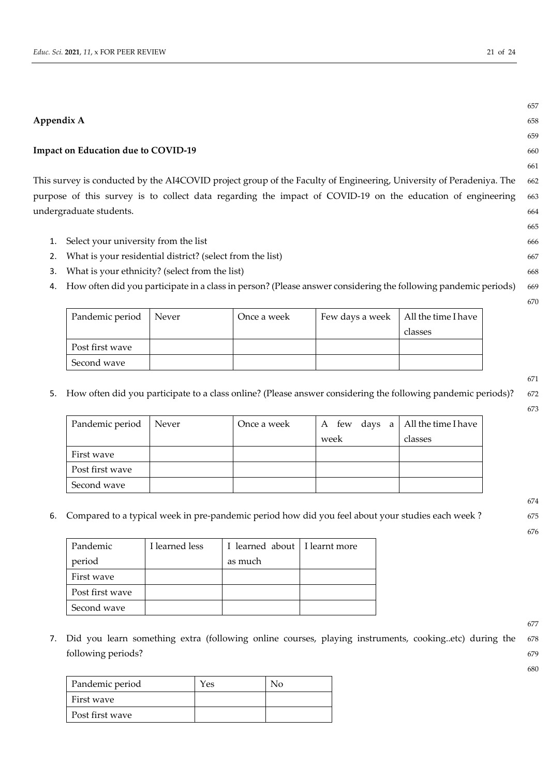#### **Appendix A** 658

#### **Impact on Education due to COVID-19** 660

This survey is conducted by the AI4COVID project group of the Faculty of Engineering, University of Peradeniya. The 662 purpose of this survey is to collect data regarding the impact of COVID-19 on the education of engineering 663 undergraduate students. 664

- 1. Select your university from the list 666
- 2. What is your residential district? (select from the list) 667
- 3. What is your ethnicity? (select from the list) 668
- 4. How often did you participate in a class in person? (Please answer considering the following pandemic periods) 669

| Pandemic period | Never | Once a week | Few days a week   All the time I have |         |
|-----------------|-------|-------------|---------------------------------------|---------|
|                 |       |             |                                       | classes |
| Post first wave |       |             |                                       |         |
| Second wave     |       |             |                                       |         |

- 5. How often did you participate to a class online? (Please answer considering the following pandemic periods)? 672
	- 673

674

676

671

| Pandemic period   Never | Once a week | A few days a $\vert$ All the time I have |         |
|-------------------------|-------------|------------------------------------------|---------|
|                         |             | week                                     | classes |
| First wave              |             |                                          |         |
| Post first wave         |             |                                          |         |
| Second wave             |             |                                          |         |

6. Compared to a typical week in pre-pandemic period how did you feel about your studies each week ? 675

| Pandemic        | I learned less | I learned about   I learnt more |  |
|-----------------|----------------|---------------------------------|--|
| period          |                | as much                         |  |
| First wave      |                |                                 |  |
| Post first wave |                |                                 |  |
| Second wave     |                |                                 |  |

7. Did you learn something extra (following online courses, playing instruments, cooking..etc) during the 678 following periods? 679

| Pandemic period | Yes | $N_{\Omega}$ |
|-----------------|-----|--------------|
| First wave      |     |              |
| Post first wave |     |              |

657

659

661

665

670

677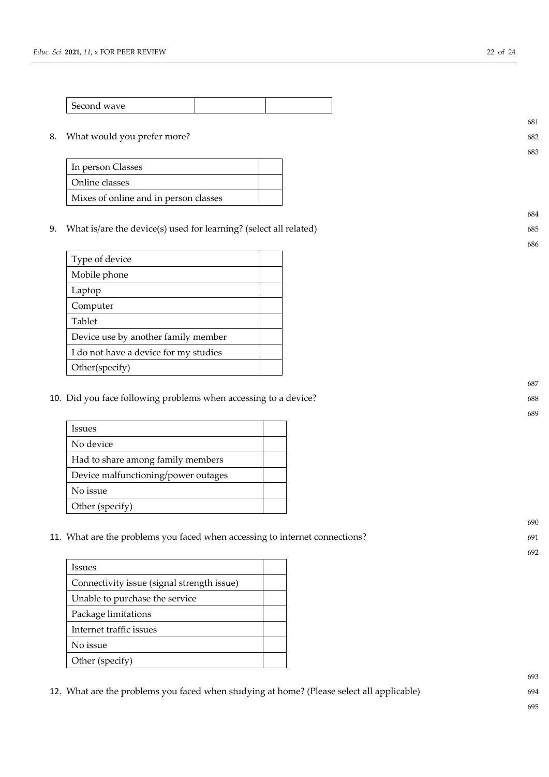| Second wave |  |
|-------------|--|

#### 8. What would you prefer more? 682

| In person Classes                     |  |
|---------------------------------------|--|
| Online classes                        |  |
| Mixes of online and in person classes |  |

9. What is/are the device(s) used for learning? (select all related) 685

| Type of device                        |  |
|---------------------------------------|--|
| Mobile phone                          |  |
| Laptop                                |  |
| Computer                              |  |
| Tablet                                |  |
| Device use by another family member   |  |
| I do not have a device for my studies |  |
| Other(specify)                        |  |

10. Did you face following problems when accessing to a device? 688

| Issues                              |  |
|-------------------------------------|--|
| No device                           |  |
| Had to share among family members   |  |
| Device malfunctioning/power outages |  |
| No issue                            |  |
| Other (specify)                     |  |

11. What are the problems you faced when accessing to internet connections? 691

| <b>Issues</b>                              |  |
|--------------------------------------------|--|
| Connectivity issue (signal strength issue) |  |
| Unable to purchase the service             |  |
| Package limitations                        |  |
| Internet traffic issues                    |  |
| No issue                                   |  |
| Other (specify)                            |  |

12. What are the problems you faced when studying at home? (Please select all applicable) 694

681

683

684

686

687

689

690

692

693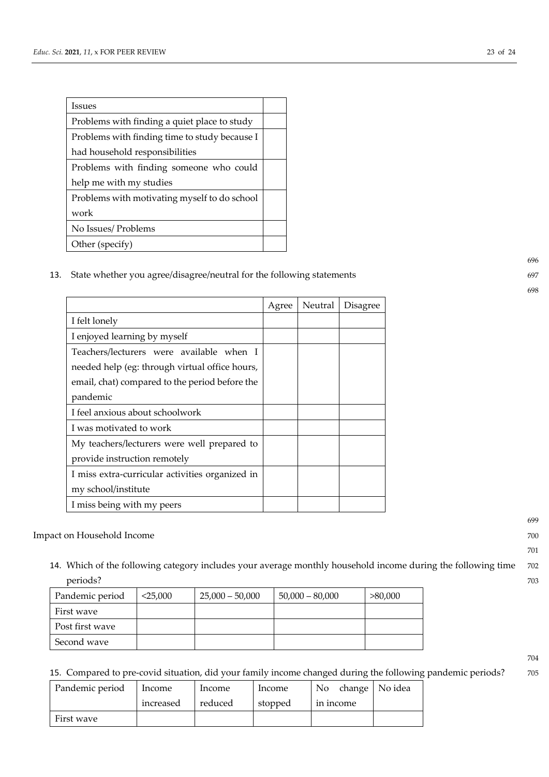| Issues                                        |  |
|-----------------------------------------------|--|
| Problems with finding a quiet place to study  |  |
| Problems with finding time to study because I |  |
| had household responsibilities                |  |
| Problems with finding someone who could       |  |
| help me with my studies                       |  |
| Problems with motivating myself to do school  |  |
| work                                          |  |
| No Issues/ Problems                           |  |
| Other (specify)                               |  |

13. State whether you agree/disagree/neutral for the following statements 697

|                                                 | Agree | Neutral | Disagree |
|-------------------------------------------------|-------|---------|----------|
| I felt lonely                                   |       |         |          |
| I enjoyed learning by myself                    |       |         |          |
| Teachers/lecturers were available when I        |       |         |          |
| needed help (eg: through virtual office hours,  |       |         |          |
| email, chat) compared to the period before the  |       |         |          |
| pandemic                                        |       |         |          |
| I feel anxious about schoolwork                 |       |         |          |
| I was motivated to work                         |       |         |          |
| My teachers/lecturers were well prepared to     |       |         |          |
| provide instruction remotely                    |       |         |          |
| I miss extra-curricular activities organized in |       |         |          |
| my school/institute                             |       |         |          |
| I miss being with my peers                      |       |         |          |

### Impact on Household Income 700

14. Which of the following category includes your average monthly household income during the following time 702 periods? 703

| Pandemic period | $<$ 25.000 | $25,000 - 50,000$ | $50,000 - 80,000$ | >80,000 |
|-----------------|------------|-------------------|-------------------|---------|
| First wave      |            |                   |                   |         |
| Post first wave |            |                   |                   |         |
| Second wave     |            |                   |                   |         |

15. Compared to pre-covid situation, did your family income changed during the following pandemic periods? 705

| Pandemic period | Income    | Income  | Income  | change   No idea<br>$\mathsf{N}_0$ |  |
|-----------------|-----------|---------|---------|------------------------------------|--|
|                 | increased | reduced | stopped | in income                          |  |
| First wave      |           |         |         |                                    |  |

696

698

699

701